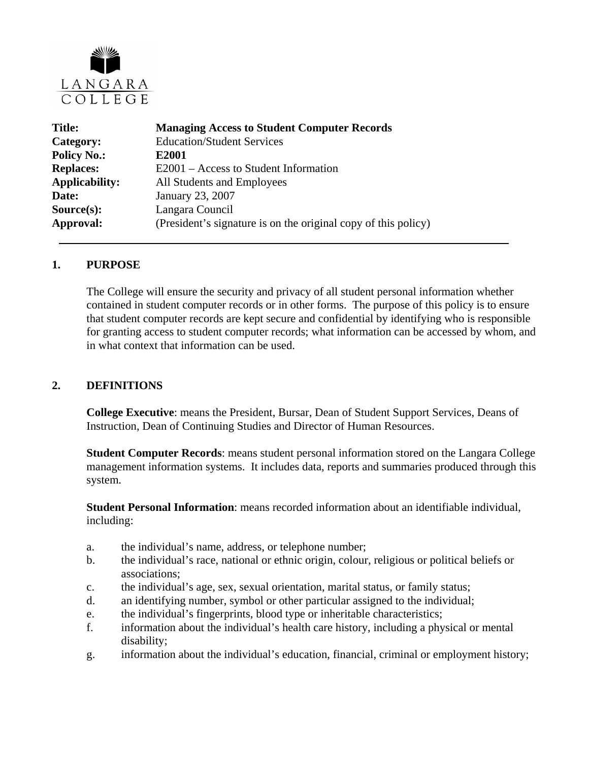

| <b>Title:</b>         | <b>Managing Access to Student Computer Records</b>             |  |  |
|-----------------------|----------------------------------------------------------------|--|--|
| Category:             | <b>Education/Student Services</b>                              |  |  |
| <b>Policy No.:</b>    | E2001                                                          |  |  |
| <b>Replaces:</b>      | E2001 – Access to Student Information                          |  |  |
| <b>Applicability:</b> | All Students and Employees                                     |  |  |
| Date:                 | January 23, 2007                                               |  |  |
| $Source(s)$ :         | Langara Council                                                |  |  |
| Approval:             | (President's signature is on the original copy of this policy) |  |  |

#### **1. PURPOSE**

The College will ensure the security and privacy of all student personal information whether contained in student computer records or in other forms. The purpose of this policy is to ensure that student computer records are kept secure and confidential by identifying who is responsible for granting access to student computer records; what information can be accessed by whom, and in what context that information can be used.

### **2. DEFINITIONS**

**College Executive**: means the President, Bursar, Dean of Student Support Services, Deans of Instruction, Dean of Continuing Studies and Director of Human Resources.

**Student Computer Records**: means student personal information stored on the Langara College management information systems. It includes data, reports and summaries produced through this system.

**Student Personal Information**: means recorded information about an identifiable individual, including:

- a. the individual's name, address, or telephone number;
- b. the individual's race, national or ethnic origin, colour, religious or political beliefs or associations;
- c. the individual's age, sex, sexual orientation, marital status, or family status;
- d. an identifying number, symbol or other particular assigned to the individual;
- e. the individual's fingerprints, blood type or inheritable characteristics;
- f. information about the individual's health care history, including a physical or mental disability;
- g. information about the individual's education, financial, criminal or employment history;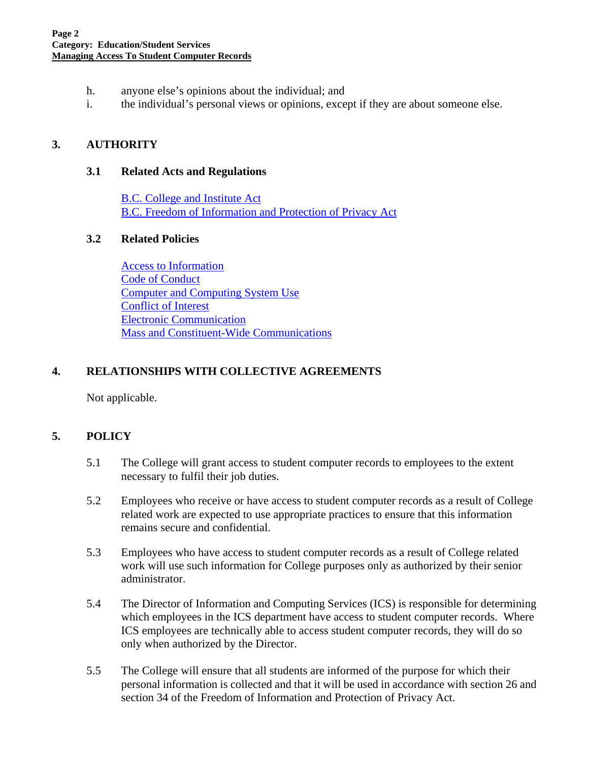- h. anyone else's opinions about the individual; and
- i. the individual's personal views or opinions, except if they are about someone else.

## **3. AUTHORITY**

#### **3.1 Related Acts and Regulations**

[B.C. College and Institute Act](http://www.qp.gov.bc.ca/statreg/stat/C/96052_01.htm) [B.C. Freedom of Information and Protection of Privacy Act](http://www.qp.gov.bc.ca/statreg/stat/F/96165_01.htm)

### **3.2 Related Policies**

[Access to Information](http://www.langara.bc.ca/policies/A3001.pdf)  [Code of Conduct](http://www.langara.bc.ca/policies/B3002.pdf) [Computer and Computing System Use](http://www.langara.bc.ca/policies/B5002.pdf) [Conflict of Interest](http://www.langara.bc.ca/policies/B3003.pdf) [Electronic Communication](http://www.langara.bc.ca/policies/B4002.pdf) [Mass and Constituent-Wide Communications](http://www.langara.bc.ca/policies/B4005.pdf)

## **4. RELATIONSHIPS WITH COLLECTIVE AGREEMENTS**

Not applicable.

# **5. POLICY**

- 5.1 The College will grant access to student computer records to employees to the extent necessary to fulfil their job duties.
- 5.2 Employees who receive or have access to student computer records as a result of College related work are expected to use appropriate practices to ensure that this information remains secure and confidential.
- 5.3 Employees who have access to student computer records as a result of College related work will use such information for College purposes only as authorized by their senior administrator.
- 5.4 The Director of Information and Computing Services (ICS) is responsible for determining which employees in the ICS department have access to student computer records. Where ICS employees are technically able to access student computer records, they will do so only when authorized by the Director.
- 5.5 The College will ensure that all students are informed of the purpose for which their personal information is collected and that it will be used in accordance with section 26 and section 34 of the Freedom of Information and Protection of Privacy Act.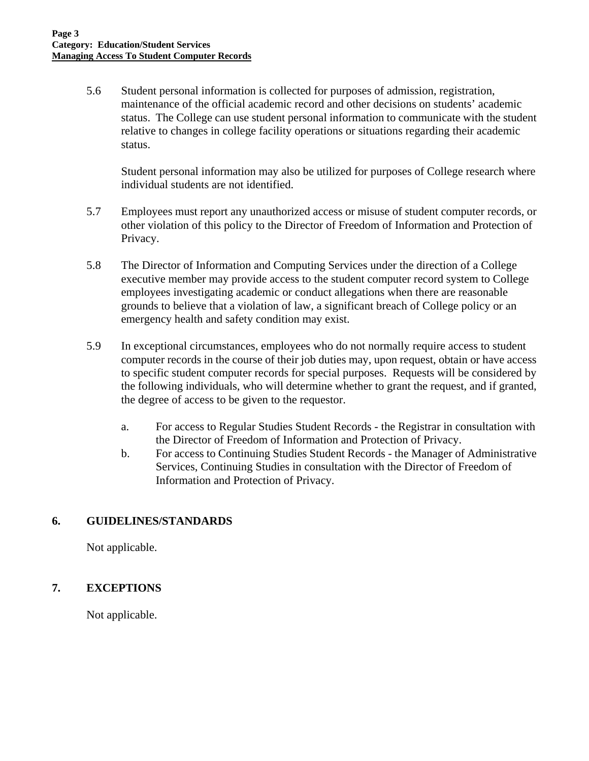5.6 Student personal information is collected for purposes of admission, registration, maintenance of the official academic record and other decisions on students' academic status. The College can use student personal information to communicate with the student relative to changes in college facility operations or situations regarding their academic status.

 Student personal information may also be utilized for purposes of College research where individual students are not identified.

- 5.7 Employees must report any unauthorized access or misuse of student computer records, or other violation of this policy to the Director of Freedom of Information and Protection of Privacy.
- 5.8 The Director of Information and Computing Services under the direction of a College executive member may provide access to the student computer record system to College employees investigating academic or conduct allegations when there are reasonable grounds to believe that a violation of law, a significant breach of College policy or an emergency health and safety condition may exist.
- 5.9 In exceptional circumstances, employees who do not normally require access to student computer records in the course of their job duties may, upon request, obtain or have access to specific student computer records for special purposes. Requests will be considered by the following individuals, who will determine whether to grant the request, and if granted, the degree of access to be given to the requestor.
	- a. For access to Regular Studies Student Records the Registrar in consultation with the Director of Freedom of Information and Protection of Privacy.
	- b. For access to Continuing Studies Student Records the Manager of Administrative Services, Continuing Studies in consultation with the Director of Freedom of Information and Protection of Privacy.

# **6. GUIDELINES/STANDARDS**

Not applicable.

## **7. EXCEPTIONS**

Not applicable.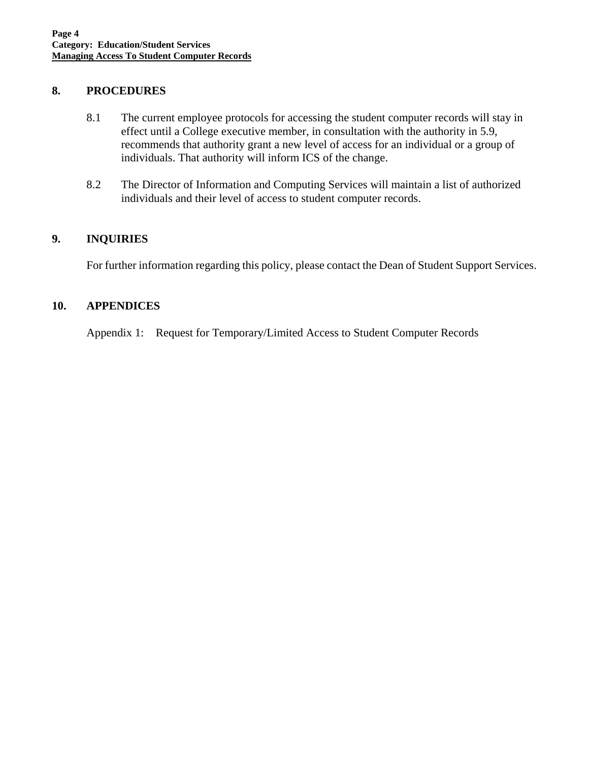### **8. PROCEDURES**

- 8.1 The current employee protocols for accessing the student computer records will stay in effect until a College executive member, in consultation with the authority in 5.9, recommends that authority grant a new level of access for an individual or a group of individuals. That authority will inform ICS of the change.
- 8.2 The Director of Information and Computing Services will maintain a list of authorized individuals and their level of access to student computer records.

## **9. INQUIRIES**

For further information regarding this policy, please contact the Dean of Student Support Services.

## **10. APPENDICES**

Appendix 1: Request for Temporary/Limited Access to Student Computer Records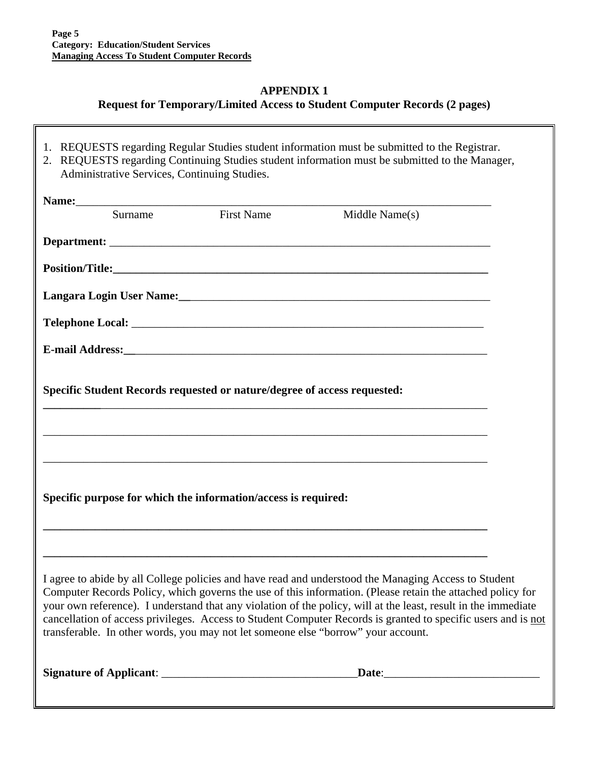### **APPENDIX 1**

## **Request for Temporary/Limited Access to Student Computer Records (2 pages)**

- 1. REQUESTS regarding Regular Studies student information must be submitted to the Registrar.
- 2. REQUESTS regarding Continuing Studies student information must be submitted to the Manager, Administrative Services, Continuing Studies.

| Surname | <b>First Name</b>                                                        | Middle Name(s)                                                                                                                                                                                                                                                                                                                                                                                                                                                                                                                             |  |
|---------|--------------------------------------------------------------------------|--------------------------------------------------------------------------------------------------------------------------------------------------------------------------------------------------------------------------------------------------------------------------------------------------------------------------------------------------------------------------------------------------------------------------------------------------------------------------------------------------------------------------------------------|--|
|         |                                                                          |                                                                                                                                                                                                                                                                                                                                                                                                                                                                                                                                            |  |
|         |                                                                          |                                                                                                                                                                                                                                                                                                                                                                                                                                                                                                                                            |  |
|         |                                                                          |                                                                                                                                                                                                                                                                                                                                                                                                                                                                                                                                            |  |
|         |                                                                          |                                                                                                                                                                                                                                                                                                                                                                                                                                                                                                                                            |  |
|         |                                                                          |                                                                                                                                                                                                                                                                                                                                                                                                                                                                                                                                            |  |
|         | Specific Student Records requested or nature/degree of access requested: |                                                                                                                                                                                                                                                                                                                                                                                                                                                                                                                                            |  |
|         |                                                                          | ,我们也不能在这里的人,我们也不能在这里的人,我们也不能在这里的人,我们也不能在这里的人,我们也不能在这里的人,我们也不能在这里的人,我们也不能在这里的人,我们也                                                                                                                                                                                                                                                                                                                                                                                                                                                          |  |
|         |                                                                          | ,我们也不能在这里的人,我们也不能在这里的人,我们也不能在这里的人,我们也不能在这里的人,我们也不能在这里的人,我们也不能在这里的人,我们也不能在这里的人,我们也                                                                                                                                                                                                                                                                                                                                                                                                                                                          |  |
|         | Specific purpose for which the information/access is required:           |                                                                                                                                                                                                                                                                                                                                                                                                                                                                                                                                            |  |
|         |                                                                          | I agree to abide by all College policies and have read and understood the Managing Access to Student<br>Computer Records Policy, which governs the use of this information. (Please retain the attached policy for<br>your own reference). I understand that any violation of the policy, will at the least, result in the immediate<br>cancellation of access privileges. Access to Student Computer Records is granted to specific users and is not<br>transferable. In other words, you may not let someone else "borrow" your account. |  |
|         |                                                                          |                                                                                                                                                                                                                                                                                                                                                                                                                                                                                                                                            |  |